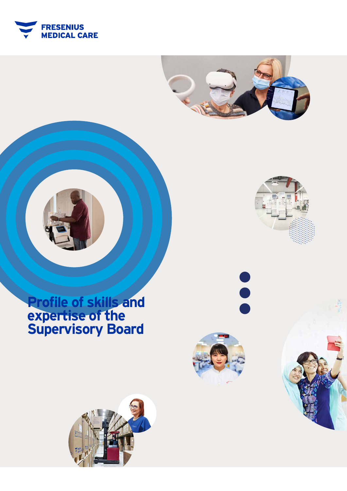





# **Profile of skills and expertise of the Supervisory Board**







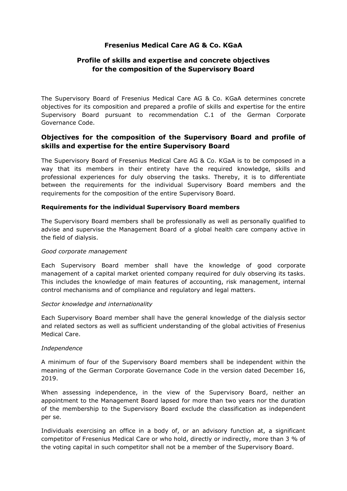# **Fresenius Medical Care AG & Co. KGaA**

# **Profile of skills and expertise and concrete objectives for the composition of the Supervisory Board**

The Supervisory Board of Fresenius Medical Care AG & Co. KGaA determines concrete objectives for its composition and prepared a profile of skills and expertise for the entire Supervisory Board pursuant to recommendation C.1 of the German Corporate Governance Code.

# **Objectives for the composition of the Supervisory Board and profile of skills and expertise for the entire Supervisory Board**

The Supervisory Board of Fresenius Medical Care AG & Co. KGaA is to be composed in a way that its members in their entirety have the required knowledge, skills and professional experiences for duly observing the tasks. Thereby, it is to differentiate between the requirements for the individual Supervisory Board members and the requirements for the composition of the entire Supervisory Board.

# **Requirements for the individual Supervisory Board members**

The Supervisory Board members shall be professionally as well as personally qualified to advise and supervise the Management Board of a global health care company active in the field of dialysis.

## *Good corporate management*

Each Supervisory Board member shall have the knowledge of good corporate management of a capital market oriented company required for duly observing its tasks. This includes the knowledge of main features of accounting, risk management, internal control mechanisms and of compliance and regulatory and legal matters.

## *Sector knowledge and internationality*

Each Supervisory Board member shall have the general knowledge of the dialysis sector and related sectors as well as sufficient understanding of the global activities of Fresenius Medical Care.

## *Independence*

A minimum of four of the Supervisory Board members shall be independent within the meaning of the German Corporate Governance Code in the version dated December 16, 2019.

When assessing independence, in the view of the Supervisory Board, neither an appointment to the Management Board lapsed for more than two years nor the duration of the membership to the Supervisory Board exclude the classification as independent per se.

Individuals exercising an office in a body of, or an advisory function at, a significant competitor of Fresenius Medical Care or who hold, directly or indirectly, more than 3 % of the voting capital in such competitor shall not be a member of the Supervisory Board.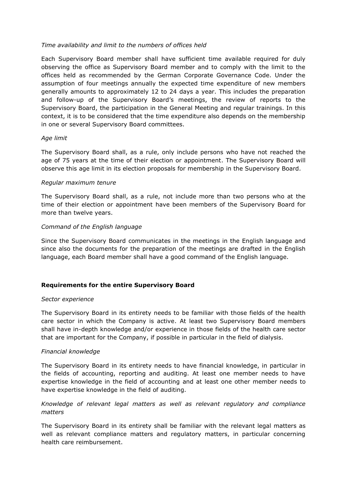# *Time availability and limit to the numbers of offices held*

Each Supervisory Board member shall have sufficient time available required for duly observing the office as Supervisory Board member and to comply with the limit to the offices held as recommended by the German Corporate Governance Code. Under the assumption of four meetings annually the expected time expenditure of new members generally amounts to approximately 12 to 24 days a year. This includes the preparation and follow-up of the Supervisory Board's meetings, the review of reports to the Supervisory Board, the participation in the General Meeting and regular trainings. In this context, it is to be considered that the time expenditure also depends on the membership in one or several Supervisory Board committees.

## *Age limit*

The Supervisory Board shall, as a rule, only include persons who have not reached the age of 75 years at the time of their election or appointment. The Supervisory Board will observe this age limit in its election proposals for membership in the Supervisory Board.

## *Regular maximum tenure*

The Supervisory Board shall, as a rule, not include more than two persons who at the time of their election or appointment have been members of the Supervisory Board for more than twelve years.

# *Command of the English language*

Since the Supervisory Board communicates in the meetings in the English language and since also the documents for the preparation of the meetings are drafted in the English language, each Board member shall have a good command of the English language.

# **Requirements for the entire Supervisory Board**

## *Sector experience*

The Supervisory Board in its entirety needs to be familiar with those fields of the health care sector in which the Company is active. At least two Supervisory Board members shall have in-depth knowledge and/or experience in those fields of the health care sector that are important for the Company, if possible in particular in the field of dialysis.

## *Financial knowledge*

The Supervisory Board in its entirety needs to have financial knowledge, in particular in the fields of accounting, reporting and auditing. At least one member needs to have expertise knowledge in the field of accounting and at least one other member needs to have expertise knowledge in the field of auditing.

# *Knowledge of relevant legal matters as well as relevant regulatory and compliance matters*

The Supervisory Board in its entirety shall be familiar with the relevant legal matters as well as relevant compliance matters and regulatory matters, in particular concerning health care reimbursement.